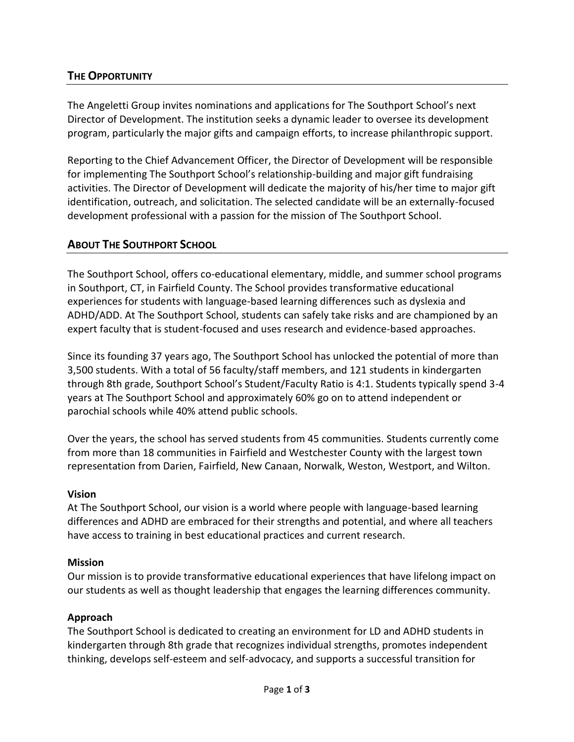## **THE OPPORTUNITY**

The Angeletti Group invites nominations and applications for The Southport School's next Director of Development. The institution seeks a dynamic leader to oversee its development program, particularly the major gifts and campaign efforts, to increase philanthropic support.

Reporting to the Chief Advancement Officer, the Director of Development will be responsible for implementing The Southport School's relationship-building and major gift fundraising activities. The Director of Development will dedicate the majority of his/her time to major gift identification, outreach, and solicitation. The selected candidate will be an externally-focused development professional with a passion for the mission of The Southport School.

## **ABOUT THE SOUTHPORT SCHOOL**

The Southport School, offers co-educational elementary, middle, and summer school programs in Southport, CT, in Fairfield County. The School provides transformative educational experiences for students with language-based learning differences such as dyslexia and ADHD/ADD. At The Southport School, students can safely take risks and are championed by an expert faculty that is student-focused and uses research and evidence-based approaches.

Since its founding 37 years ago, The Southport School has unlocked the potential of more than 3,500 students. With a total of 56 faculty/staff members, and 121 students in kindergarten through 8th grade, Southport School's Student/Faculty Ratio is 4:1. Students typically spend 3-4 years at The Southport School and approximately 60% go on to attend independent or parochial schools while 40% attend public schools.

Over the years, the school has served students from 45 communities. Students currently come from more than 18 communities in Fairfield and Westchester County with the largest town representation from Darien, Fairfield, New Canaan, Norwalk, Weston, Westport, and Wilton.

#### **Vision**

At The Southport School, our vision is a world where people with language-based learning differences and ADHD are embraced for their strengths and potential, and where all teachers have access to training in best educational practices and current research.

#### **Mission**

Our mission is to provide transformative educational experiences that have lifelong impact on our students as well as thought leadership that engages the learning differences community.

#### **Approach**

The Southport School is dedicated to creating an environment for LD and ADHD students in kindergarten through 8th grade that recognizes individual strengths, promotes independent thinking, develops self-esteem and self-advocacy, and supports a successful transition for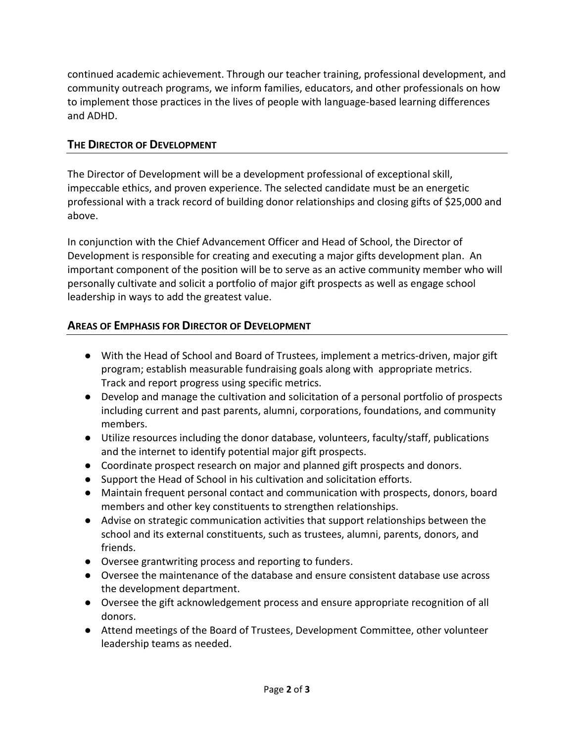continued academic achievement. Through our teacher training, professional development, and community outreach programs, we inform families, educators, and other professionals on how to implement those practices in the lives of people with language-based learning differences and ADHD.

# **THE DIRECTOR OF DEVELOPMENT**

The Director of Development will be a development professional of exceptional skill, impeccable ethics, and proven experience. The selected candidate must be an energetic professional with a track record of building donor relationships and closing gifts of \$25,000 and above.

In conjunction with the Chief Advancement Officer and Head of School, the Director of Development is responsible for creating and executing a major gifts development plan. An important component of the position will be to serve as an active community member who will personally cultivate and solicit a portfolio of major gift prospects as well as engage school leadership in ways to add the greatest value.

# **AREAS OF EMPHASIS FOR DIRECTOR OF DEVELOPMENT**

- With the Head of School and Board of Trustees, implement a metrics-driven, major gift program; establish measurable fundraising goals along with appropriate metrics. Track and report progress using specific metrics.
- Develop and manage the cultivation and solicitation of a personal portfolio of prospects including current and past parents, alumni, corporations, foundations, and community members.
- Utilize resources including the donor database, volunteers, faculty/staff, publications and the internet to identify potential major gift prospects.
- Coordinate prospect research on major and planned gift prospects and donors.
- Support the Head of School in his cultivation and solicitation efforts.
- Maintain frequent personal contact and communication with prospects, donors, board members and other key constituents to strengthen relationships.
- Advise on strategic communication activities that support relationships between the school and its external constituents, such as trustees, alumni, parents, donors, and friends.
- Oversee grantwriting process and reporting to funders.
- Oversee the maintenance of the database and ensure consistent database use across the development department.
- Oversee the gift acknowledgement process and ensure appropriate recognition of all donors.
- Attend meetings of the Board of Trustees, Development Committee, other volunteer leadership teams as needed.